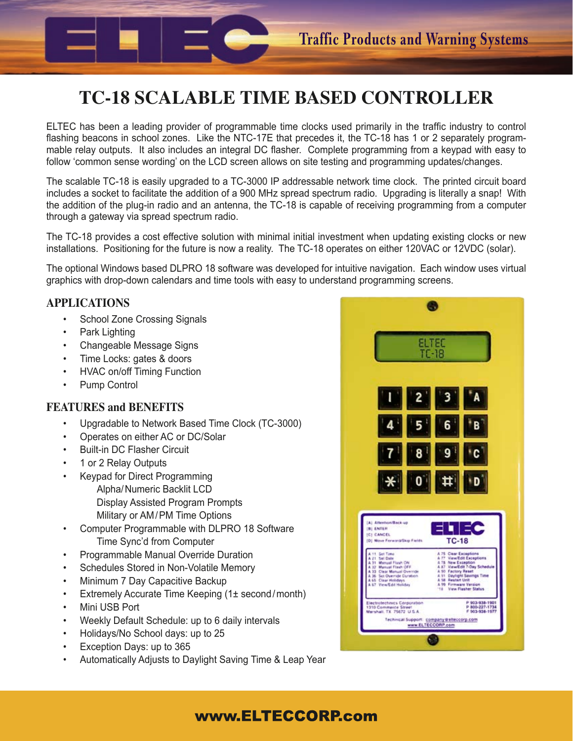# **TC-18 SCALABLE TIME BASED CONTROLLER**

ELTEC has been a leading provider of programmable time clocks used primarily in the traffic industry to control flashing beacons in school zones. Like the NTC-17E that precedes it, the TC-18 has 1 or 2 separately programmable relay outputs. It also includes an integral DC flasher. Complete programming from a keypad with easy to follow 'common sense wording' on the LCD screen allows on site testing and programming updates/changes.

The scalable TC-18 is easily upgraded to a TC-3000 IP addressable network time clock. The printed circuit board includes a socket to facilitate the addition of a 900 MHz spread spectrum radio. Upgrading is literally a snap! With the addition of the plug-in radio and an antenna, the TC-18 is capable of receiving programming from a computer through a gateway via spread spectrum radio.

The TC-18 provides a cost effective solution with minimal initial investment when updating existing clocks or new installations. Positioning for the future is now a reality. The TC-18 operates on either 120VAC or 12VDC (solar).

The optional Windows based DLPRO 18 software was developed for intuitive navigation. Each window uses virtual graphics with drop-down calendars and time tools with easy to understand programming screens.

## **APPLICATIONS**

- School Zone Crossing Signals
- Park Lighting
- Changeable Message Signs
- Time Locks: gates & doors
- HVAC on/off Timing Function
- Pump Control

### **FEATURES and BENEFITS**

- Upgradable to Network Based Time Clock (TC-3000)
- Operates on either AC or DC/Solar
- Built-in DC Flasher Circuit
- 1 or 2 Relay Outputs
- Keypad for Direct Programming Alpha/Numeric Backlit LCD Display Assisted Program Prompts Military or AM/PM Time Options
- Computer Programmable with DLPRO 18 Software Time Sync'd from Computer
- Programmable Manual Override Duration
- Schedules Stored in Non-Volatile Memory
- Minimum 7 Day Capacitive Backup
- Extremely Accurate Time Keeping (1± second/month)
- Mini USB Port
- Weekly Default Schedule: up to 6 daily intervals
- Holidays/No School days: up to 25
- Exception Days: up to 365
- Automatically Adjusts to Daylight Saving Time & Leap Year



# www.ELTECCORP.com